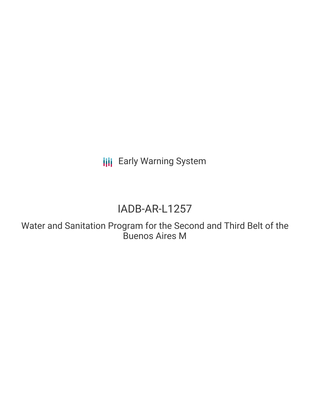**III** Early Warning System

# IADB-AR-L1257

Water and Sanitation Program for the Second and Third Belt of the Buenos Aires M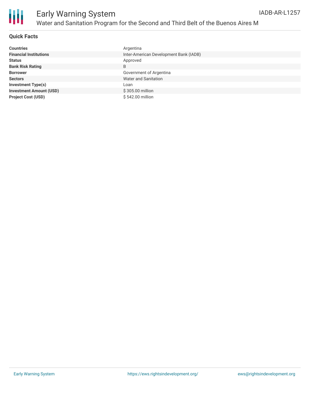

### **Quick Facts**

| <b>Countries</b>               | Argentina                              |
|--------------------------------|----------------------------------------|
| <b>Financial Institutions</b>  | Inter-American Development Bank (IADB) |
| <b>Status</b>                  | Approved                               |
| <b>Bank Risk Rating</b>        | B                                      |
| <b>Borrower</b>                | Government of Argentina                |
| <b>Sectors</b>                 | <b>Water and Sanitation</b>            |
| <b>Investment Type(s)</b>      | Loan                                   |
| <b>Investment Amount (USD)</b> | \$305.00 million                       |
| <b>Project Cost (USD)</b>      | \$542.00 million                       |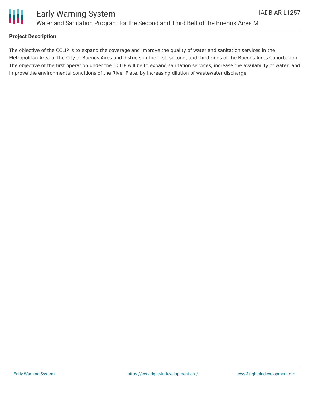



### **Project Description**

The objective of the CCLIP is to expand the coverage and improve the quality of water and sanitation services in the Metropolitan Area of the City of Buenos Aires and districts in the first, second, and third rings of the Buenos Aires Conurbation. The objective of the first operation under the CCLIP will be to expand sanitation services, increase the availability of water, and improve the environmental conditions of the River Plate, by increasing dilution of wastewater discharge.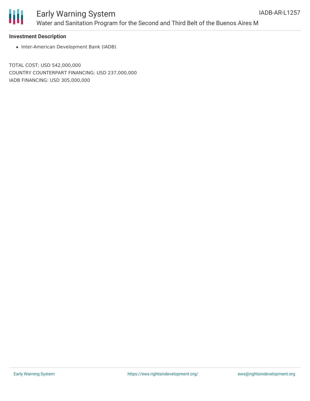

## Early Warning System Water and Sanitation Program for the Second and Third Belt of the Buenos Aires M

#### **Investment Description**

• Inter-American Development Bank (IADB)

TOTAL COST: USD 542,000,000 COUNTRY COUNTERPART FINANCING: USD 237,000,000 IADB FINANCING: USD 305,000,000